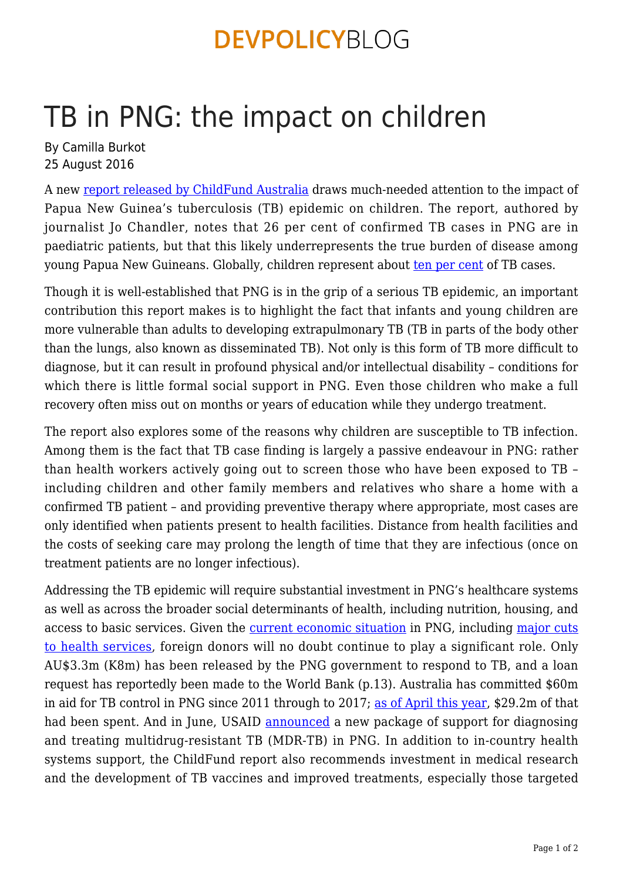# **DEVPOLICYBLOG**

# TB in PNG: the impact on children

By Camilla Burkot 25 August 2016

A new [report released by ChildFund Australia](http://www.childfund.org.au/publications/TBinPNG) draws much-needed attention to the impact of Papua New Guinea's tuberculosis (TB) epidemic on children. The report, authored by journalist Jo Chandler, notes that 26 per cent of confirmed TB cases in PNG are in paediatric patients, but that this likely underrepresents the true burden of disease among young Papua New Guineans. Globally, children represent about [ten per cent](http://www.who.int/tb/FDC_Factsheet.pdf?ua=1) of TB cases.

Though it is well-established that PNG is in the grip of a serious TB epidemic, an important contribution this report makes is to highlight the fact that infants and young children are more vulnerable than adults to developing extrapulmonary TB (TB in parts of the body other than the lungs, also known as disseminated TB). Not only is this form of TB more difficult to diagnose, but it can result in profound physical and/or intellectual disability – conditions for which there is little formal social support in PNG. Even those children who make a full recovery often miss out on months or years of education while they undergo treatment.

The report also explores some of the reasons why children are susceptible to TB infection. Among them is the fact that TB case finding is largely a passive endeavour in PNG: rather than health workers actively going out to screen those who have been exposed to TB – including children and other family members and relatives who share a home with a confirmed TB patient – and providing preventive therapy where appropriate, most cases are only identified when patients present to health facilities. Distance from health facilities and the costs of seeking care may prolong the length of time that they are infectious (once on treatment patients are no longer infectious).

Addressing the TB epidemic will require substantial investment in PNG's healthcare systems as well as across the broader social determinants of health, including nutrition, housing, and access to basic services. Given the [current economic situation](https://devpolicy.org/png-real-revenue-back-to-2006-levels-20160822/) in PNG, including [major cuts](https://devpolicy.org/pngs-frightening-final-budget-outcome-20160404/) [to health services](https://devpolicy.org/pngs-frightening-final-budget-outcome-20160404/), foreign donors will no doubt continue to play a significant role. Only AU\$3.3m (K8m) has been released by the PNG government to respond to TB, and a loan request has reportedly been made to the World Bank (p.13). Australia has committed \$60m in aid for TB control in PNG since 2011 through to 2017; [as of April this year](http://png.embassy.gov.au/files/pmsb/TB%20FACTSHEET%20_APRIL%202016_%20UPDATE_FINAL.pdf), \$29.2m of that had been spent. And in June, USAID [announced](http://portmoresby.usembassy.gov/usaid_tb.html) a new package of support for diagnosing and treating multidrug-resistant TB (MDR-TB) in PNG. In addition to in-country health systems support, the ChildFund report also recommends investment in medical research and the development of TB vaccines and improved treatments, especially those targeted